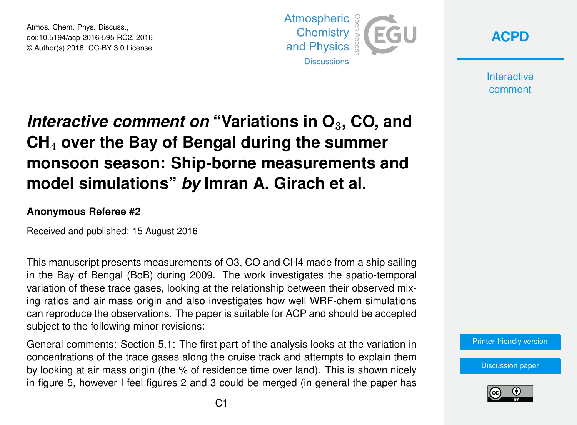Atmos. Chem. Phys. Discuss., doi:10.5194/acp-2016-595-RC2, 2016 © Author(s) 2016. CC-BY 3.0 License.





**Interactive** comment

## *Interactive comment on* **"Variations in O**3**, CO, and CH**<sup>4</sup> **over the Bay of Bengal during the summer monsoon season: Ship-borne measurements and model simulations"** *by* **Imran A. Girach et al.**

## **Anonymous Referee #2**

Received and published: 15 August 2016

This manuscript presents measurements of O3, CO and CH4 made from a ship sailing in the Bay of Bengal (BoB) during 2009. The work investigates the spatio-temporal variation of these trace gases, looking at the relationship between their observed mixing ratios and air mass origin and also investigates how well WRF-chem simulations can reproduce the observations. The paper is suitable for ACP and should be accepted subject to the following minor revisions:

General comments: Section 5.1: The first part of the analysis looks at the variation in concentrations of the trace gases along the cruise track and attempts to explain them by looking at air mass origin (the % of residence time over land). This is shown nicely in figure 5, however I feel figures 2 and 3 could be merged (in general the paper has



[Discussion paper](http://www.atmos-chem-phys-discuss.net/acp-2016-595)

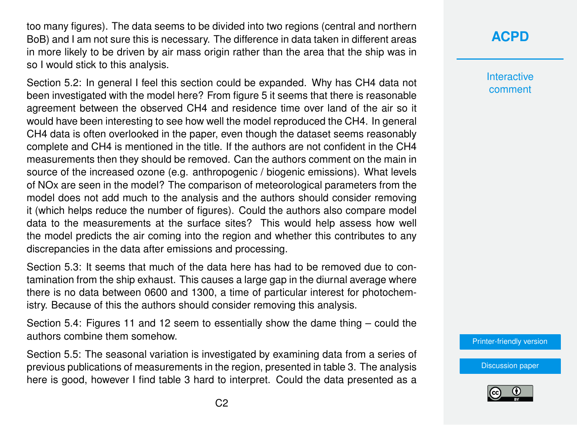too many figures). The data seems to be divided into two regions (central and northern BoB) and I am not sure this is necessary. The difference in data taken in different areas in more likely to be driven by air mass origin rather than the area that the ship was in so I would stick to this analysis.

Section 5.2: In general I feel this section could be expanded. Why has CH4 data not been investigated with the model here? From figure 5 it seems that there is reasonable agreement between the observed CH4 and residence time over land of the air so it would have been interesting to see how well the model reproduced the CH4. In general CH4 data is often overlooked in the paper, even though the dataset seems reasonably complete and CH4 is mentioned in the title. If the authors are not confident in the CH4 measurements then they should be removed. Can the authors comment on the main in source of the increased ozone (e.g. anthropogenic / biogenic emissions). What levels of NOx are seen in the model? The comparison of meteorological parameters from the model does not add much to the analysis and the authors should consider removing it (which helps reduce the number of figures). Could the authors also compare model data to the measurements at the surface sites? This would help assess how well the model predicts the air coming into the region and whether this contributes to any discrepancies in the data after emissions and processing.

Section 5.3: It seems that much of the data here has had to be removed due to contamination from the ship exhaust. This causes a large gap in the diurnal average where there is no data between 0600 and 1300, a time of particular interest for photochemistry. Because of this the authors should consider removing this analysis.

Section 5.4: Figures 11 and 12 seem to essentially show the dame thing – could the authors combine them somehow.

Section 5.5: The seasonal variation is investigated by examining data from a series of previous publications of measurements in the region, presented in table 3. The analysis here is good, however I find table 3 hard to interpret. Could the data presented as a

## **[ACPD](http://www.atmos-chem-phys-discuss.net/)**

**Interactive** comment

[Printer-friendly version](http://www.atmos-chem-phys-discuss.net/acp-2016-595/acp-2016-595-RC2-print.pdf)

[Discussion paper](http://www.atmos-chem-phys-discuss.net/acp-2016-595)